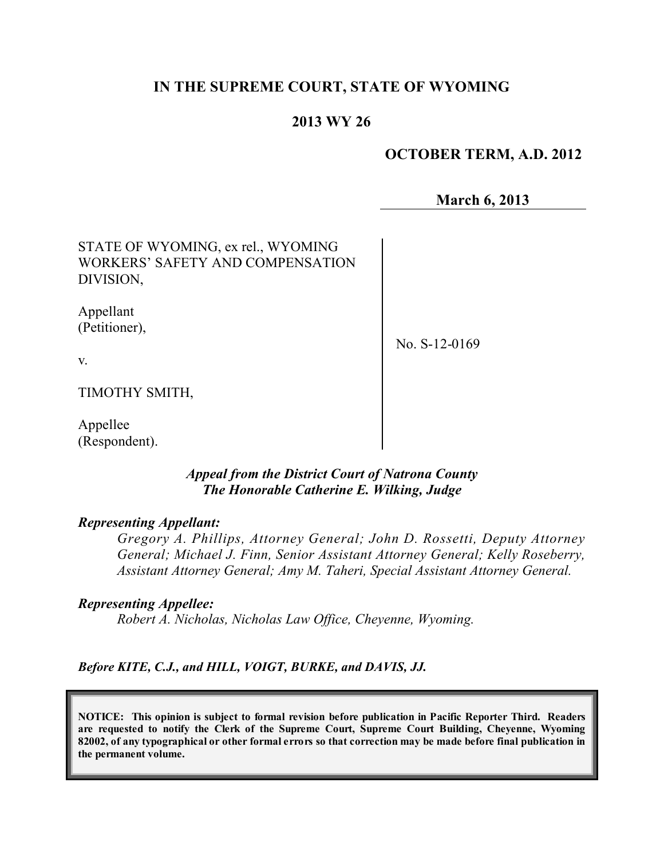# **IN THE SUPREME COURT, STATE OF WYOMING**

# **2013 WY 26**

## **OCTOBER TERM, A.D. 2012**

**March 6, 2013**

STATE OF WYOMING, ex rel., WYOMING WORKERS' SAFETY AND COMPENSATION DIVISION,

Appellant (Petitioner),

No. S-12-0169

v.

TIMOTHY SMITH,

Appellee (Respondent).

## *Appeal from the District Court of Natrona County The Honorable Catherine E. Wilking, Judge*

## *Representing Appellant:*

*Gregory A. Phillips, Attorney General; John D. Rossetti, Deputy Attorney General; Michael J. Finn, Senior Assistant Attorney General; Kelly Roseberry, Assistant Attorney General; Amy M. Taheri, Special Assistant Attorney General.*

## *Representing Appellee:*

*Robert A. Nicholas, Nicholas Law Office, Cheyenne, Wyoming.*

*Before KITE, C.J., and HILL, VOIGT, BURKE, and DAVIS, JJ.*

**NOTICE: This opinion is subject to formal revision before publication in Pacific Reporter Third. Readers are requested to notify the Clerk of the Supreme Court, Supreme Court Building, Cheyenne, Wyoming** 82002, of any typographical or other formal errors so that correction may be made before final publication in **the permanent volume.**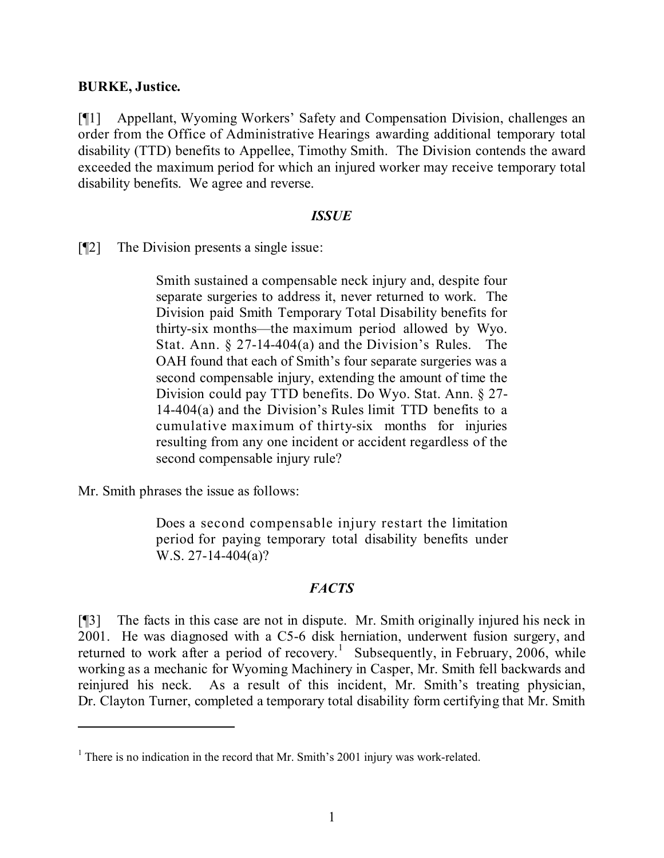## **BURKE, Justice.**

[¶1] Appellant, Wyoming Workers' Safety and Compensation Division, challenges an order from the Office of Administrative Hearings awarding additional temporary total disability (TTD) benefits to Appellee, Timothy Smith. The Division contends the award exceeded the maximum period for which an injured worker may receive temporary total disability benefits. We agree and reverse.

#### *ISSUE*

[¶2] The Division presents a single issue:

Smith sustained a compensable neck injury and, despite four separate surgeries to address it, never returned to work. The Division paid Smith Temporary Total Disability benefits for thirty-six months—the maximum period allowed by Wyo. Stat. Ann. § 27-14-404(a) and the Division's Rules. The OAH found that each of Smith's four separate surgeries was a second compensable injury, extending the amount of time the Division could pay TTD benefits. Do Wyo. Stat. Ann. § 27- 14-404(a) and the Division's Rules limit TTD benefits to a cumulative maximum of thirty-six months for injuries resulting from any one incident or accident regardless of the second compensable injury rule?

Mr. Smith phrases the issue as follows:

Does a second compensable injury restart the limitation period for paying temporary total disability benefits under W.S. 27-14-404(a)?

## *FACTS*

[¶3] The facts in this case are not in dispute. Mr. Smith originally injured his neck in 2001. He was diagnosed with a C5-6 disk herniation, underwent fusion surgery, and returned to work after a period of recovery.<sup>1</sup> Subsequently, in February, 2006, while working as a mechanic for Wyoming Machinery in Casper, Mr. Smith fell backwards and reinjured his neck. As a result of this incident, Mr. Smith's treating physician, Dr. Clayton Turner, completed a temporary total disability form certifying that Mr. Smith

 $<sup>1</sup>$  There is no indication in the record that Mr. Smith's 2001 injury was work-related.</sup>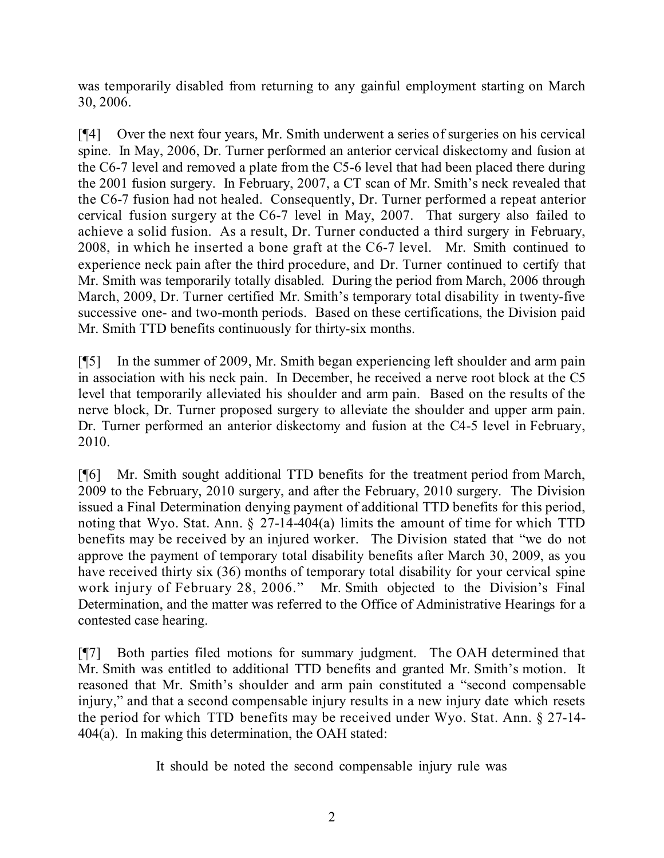was temporarily disabled from returning to any gainful employment starting on March 30, 2006.

[¶4] Over the next four years, Mr. Smith underwent a series of surgeries on his cervical spine. In May, 2006, Dr. Turner performed an anterior cervical diskectomy and fusion at the C6-7 level and removed a plate from the C5-6 level that had been placed there during the 2001 fusion surgery. In February, 2007, a CT scan of Mr. Smith's neck revealed that the C6-7 fusion had not healed. Consequently, Dr. Turner performed a repeat anterior cervical fusion surgery at the C6-7 level in May, 2007. That surgery also failed to achieve a solid fusion. As a result, Dr. Turner conducted a third surgery in February, 2008, in which he inserted a bone graft at the C6-7 level. Mr. Smith continued to experience neck pain after the third procedure, and Dr. Turner continued to certify that Mr. Smith was temporarily totally disabled. During the period from March, 2006 through March, 2009, Dr. Turner certified Mr. Smith's temporary total disability in twenty-five successive one- and two-month periods. Based on these certifications, the Division paid Mr. Smith TTD benefits continuously for thirty-six months.

[¶5] In the summer of 2009, Mr. Smith began experiencing left shoulder and arm pain in association with his neck pain. In December, he received a nerve root block at the C5 level that temporarily alleviated his shoulder and arm pain. Based on the results of the nerve block, Dr. Turner proposed surgery to alleviate the shoulder and upper arm pain. Dr. Turner performed an anterior diskectomy and fusion at the C4-5 level in February, 2010.

[¶6] Mr. Smith sought additional TTD benefits for the treatment period from March, 2009 to the February, 2010 surgery, and after the February, 2010 surgery. The Division issued a Final Determination denying payment of additional TTD benefits for this period, noting that Wyo. Stat. Ann. § 27-14-404(a) limits the amount of time for which TTD benefits may be received by an injured worker. The Division stated that "we do not approve the payment of temporary total disability benefits after March 30, 2009, as you have received thirty six (36) months of temporary total disability for your cervical spine work injury of February 28, 2006." Mr. Smith objected to the Division's Final Determination, and the matter was referred to the Office of Administrative Hearings for a contested case hearing.

[¶7] Both parties filed motions for summary judgment. The OAH determined that Mr. Smith was entitled to additional TTD benefits and granted Mr. Smith's motion. It reasoned that Mr. Smith's shoulder and arm pain constituted a "second compensable injury," and that a second compensable injury results in a new injury date which resets the period for which TTD benefits may be received under Wyo. Stat. Ann. § 27-14- 404(a). In making this determination, the OAH stated:

It should be noted the second compensable injury rule was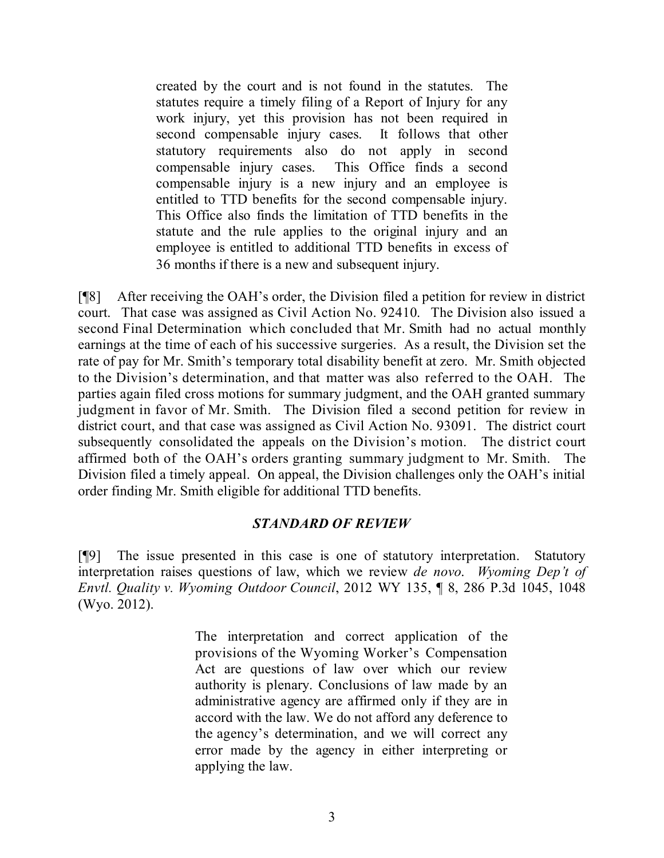created by the court and is not found in the statutes. The statutes require a timely filing of a Report of Injury for any work injury, yet this provision has not been required in second compensable injury cases. It follows that other statutory requirements also do not apply in second compensable injury cases. This Office finds a second compensable injury is a new injury and an employee is entitled to TTD benefits for the second compensable injury. This Office also finds the limitation of TTD benefits in the statute and the rule applies to the original injury and an employee is entitled to additional TTD benefits in excess of 36 months if there is a new and subsequent injury.

[¶8] After receiving the OAH's order, the Division filed a petition for review in district court. That case was assigned as Civil Action No. 92410. The Division also issued a second Final Determination which concluded that Mr. Smith had no actual monthly earnings at the time of each of his successive surgeries. As a result, the Division set the rate of pay for Mr. Smith's temporary total disability benefit at zero. Mr. Smith objected to the Division's determination, and that matter was also referred to the OAH. The parties again filed cross motions for summary judgment, and the OAH granted summary judgment in favor of Mr. Smith. The Division filed a second petition for review in district court, and that case was assigned as Civil Action No. 93091. The district court subsequently consolidated the appeals on the Division's motion. The district court affirmed both of the OAH's orders granting summary judgment to Mr. Smith. The Division filed a timely appeal. On appeal, the Division challenges only the OAH's initial order finding Mr. Smith eligible for additional TTD benefits.

## *STANDARD OF REVIEW*

[¶9] The issue presented in this case is one of statutory interpretation. Statutory interpretation raises questions of law, which we review *de novo*. *Wyoming Dep't of Envtl. Quality v. Wyoming Outdoor Council*, 2012 WY 135, ¶ 8, 286 P.3d 1045, 1048 (Wyo. 2012).

> The interpretation and correct application of the provisions of the Wyoming Worker's Compensation Act are questions of law over which our review authority is plenary. Conclusions of law made by an administrative agency are affirmed only if they are in accord with the law. We do not afford any deference to the agency's determination, and we will correct any error made by the agency in either interpreting or applying the law.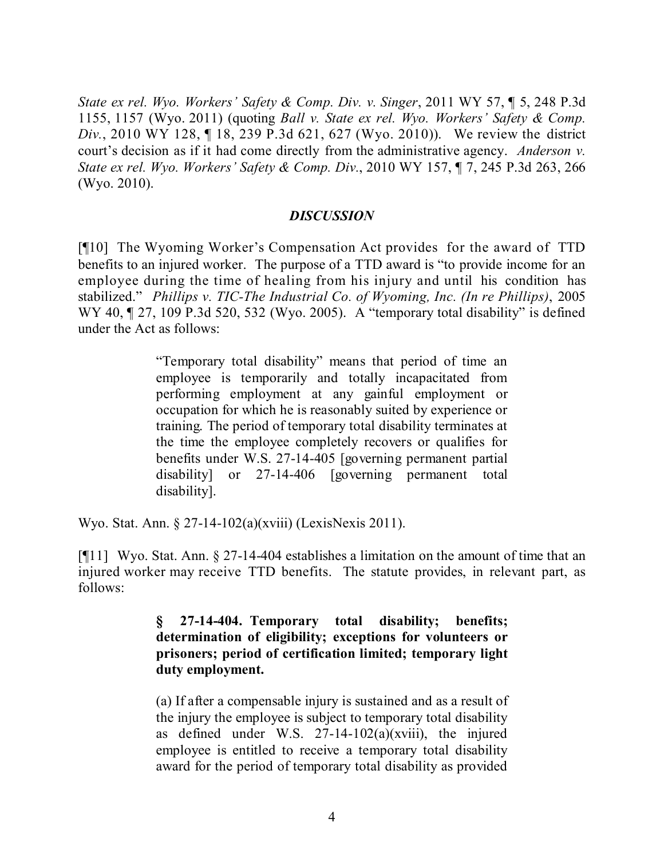*State ex rel. Wyo. Workers' Safety & Comp. Div. v. Singer*, 2011 WY 57, ¶ 5, 248 P.3d 1155, 1157 (Wyo. 2011) (quoting *Ball v. State ex rel. Wyo. Workers' Safety & Comp. Div.*, 2010 WY 128, ¶ 18, 239 P.3d 621, 627 (Wyo. 2010)). We review the district court's decision as if it had come directly from the administrative agency. *Anderson v. State ex rel. Wyo. Workers' Safety & Comp. Div.*, 2010 WY 157, ¶ 7, 245 P.3d 263, 266 (Wyo. 2010).

## *DISCUSSION*

[¶10] The Wyoming Worker's Compensation Act provides for the award of TTD benefits to an injured worker. The purpose of a TTD award is "to provide income for an employee during the time of healing from his injury and until his condition has stabilized." *Phillips v. TIC-The Industrial Co. of Wyoming, Inc. (In re Phillips)*, 2005 WY 40,  $\sqrt{27}$ , 109 P.3d 520, 532 (Wyo. 2005). A "temporary total disability" is defined under the Act as follows:

> "Temporary total disability" means that period of time an employee is temporarily and totally incapacitated from performing employment at any gainful employment or occupation for which he is reasonably suited by experience or training. The period of temporary total disability terminates at the time the employee completely recovers or qualifies for benefits under W.S. 27-14-405 [governing permanent partial disability] or 27-14-406 [governing permanent total disability].

Wyo. Stat. Ann. § 27-14-102(a)(xviii) (LexisNexis 2011).

[¶11] Wyo. Stat. Ann. § 27-14-404 establishes a limitation on the amount of time that an injured worker may receive TTD benefits. The statute provides, in relevant part, as follows:

## **§ 27-14-404. Temporary total disability; benefits; determination of eligibility; exceptions for volunteers or prisoners; period of certification limited; temporary light duty employment.**

(a) If after a compensable injury is sustained and as a result of the injury the employee is subject to temporary total disability as defined under W.S.  $27-14-102(a)(xviii)$ , the injured employee is entitled to receive a temporary total disability award for the period of temporary total disability as provided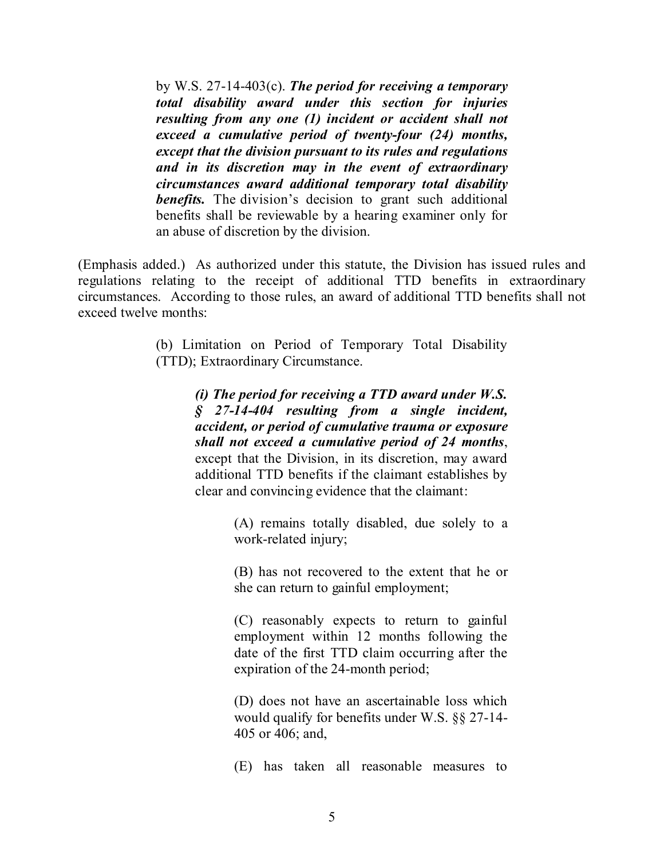by W.S. 27-14-403(c). *The period for receiving a temporary total disability award under this section for injuries resulting from any one (1) incident or accident shall not exceed a cumulative period of twenty-four (24) months, except that the division pursuant to its rules and regulations and in its discretion may in the event of extraordinary circumstances award additional temporary total disability benefits.* The division's decision to grant such additional benefits shall be reviewable by a hearing examiner only for an abuse of discretion by the division.

(Emphasis added.) As authorized under this statute, the Division has issued rules and regulations relating to the receipt of additional TTD benefits in extraordinary circumstances. According to those rules, an award of additional TTD benefits shall not exceed twelve months:

> (b) Limitation on Period of Temporary Total Disability (TTD); Extraordinary Circumstance.

> > *(i) The period for receiving a TTD award under W.S. § 27-14-404 resulting from a single incident, accident, or period of cumulative trauma or exposure shall not exceed a cumulative period of 24 months*, except that the Division, in its discretion, may award additional TTD benefits if the claimant establishes by clear and convincing evidence that the claimant:

> > > (A) remains totally disabled, due solely to a work-related injury;

> > > (B) has not recovered to the extent that he or she can return to gainful employment;

> > > (C) reasonably expects to return to gainful employment within 12 months following the date of the first TTD claim occurring after the expiration of the 24-month period;

> > > (D) does not have an ascertainable loss which would qualify for benefits under W.S. §§ 27-14- 405 or 406; and,

> > > (E) has taken all reasonable measures to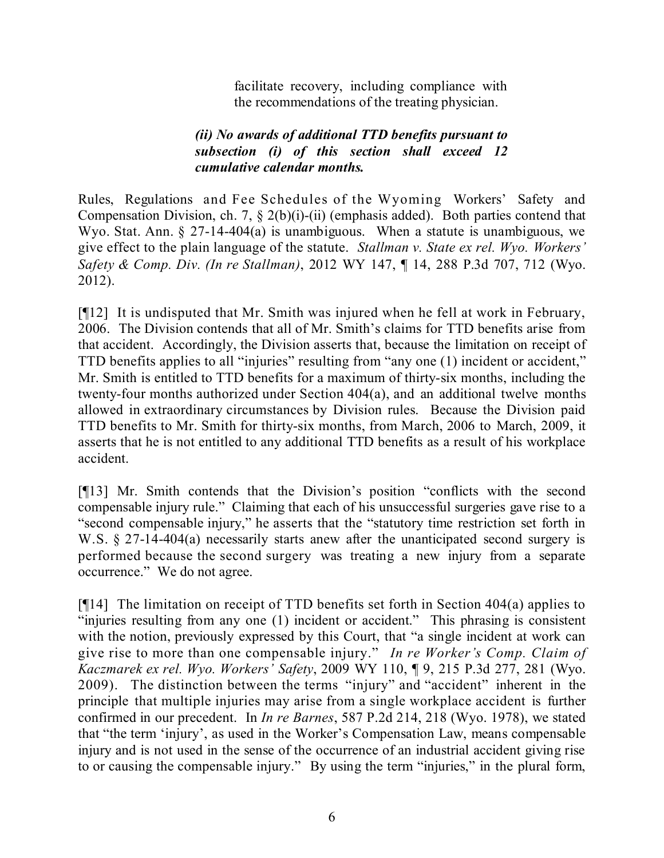facilitate recovery, including compliance with the recommendations of the treating physician.

# *(ii) No awards of additional TTD benefits pursuant to subsection (i) of this section shall exceed 12 cumulative calendar months.*

Rules, Regulations and Fee Schedules of the Wyoming Workers' Safety and Compensation Division, ch. 7, § 2(b)(i)-(ii) (emphasis added). Both parties contend that Wyo. Stat. Ann. § 27-14-404(a) is unambiguous. When a statute is unambiguous, we give effect to the plain language of the statute. *Stallman v. State ex rel. Wyo. Workers' Safety & Comp. Div. (In re Stallman)*, 2012 WY 147, ¶ 14, 288 P.3d 707, 712 (Wyo. 2012).

[¶12] It is undisputed that Mr. Smith was injured when he fell at work in February, 2006. The Division contends that all of Mr. Smith's claims for TTD benefits arise from that accident. Accordingly, the Division asserts that, because the limitation on receipt of TTD benefits applies to all "injuries" resulting from "any one (1) incident or accident," Mr. Smith is entitled to TTD benefits for a maximum of thirty-six months, including the twenty-four months authorized under Section 404(a), and an additional twelve months allowed in extraordinary circumstances by Division rules. Because the Division paid TTD benefits to Mr. Smith for thirty-six months, from March, 2006 to March, 2009, it asserts that he is not entitled to any additional TTD benefits as a result of his workplace accident.

[¶13] Mr. Smith contends that the Division's position "conflicts with the second compensable injury rule." Claiming that each of his unsuccessful surgeries gave rise to a "second compensable injury," he asserts that the "statutory time restriction set forth in W.S. § 27-14-404(a) necessarily starts anew after the unanticipated second surgery is performed because the second surgery was treating a new injury from a separate occurrence." We do not agree.

[¶14] The limitation on receipt of TTD benefits set forth in Section 404(a) applies to "injuries resulting from any one (1) incident or accident." This phrasing is consistent with the notion, previously expressed by this Court, that "a single incident at work can give rise to more than one compensable injury." *In re Worker's Comp. Claim of Kaczmarek ex rel. Wyo. Workers' Safety*, 2009 WY 110, ¶ 9, 215 P.3d 277, 281 (Wyo. 2009). The distinction between the terms "injury" and "accident" inherent in the principle that multiple injuries may arise from a single workplace accident is further confirmed in our precedent. In *In re Barnes*, 587 P.2d 214, 218 (Wyo. 1978), we stated that "the term 'injury', as used in the Worker's Compensation Law, means compensable injury and is not used in the sense of the occurrence of an industrial accident giving rise to or causing the compensable injury." By using the term "injuries," in the plural form,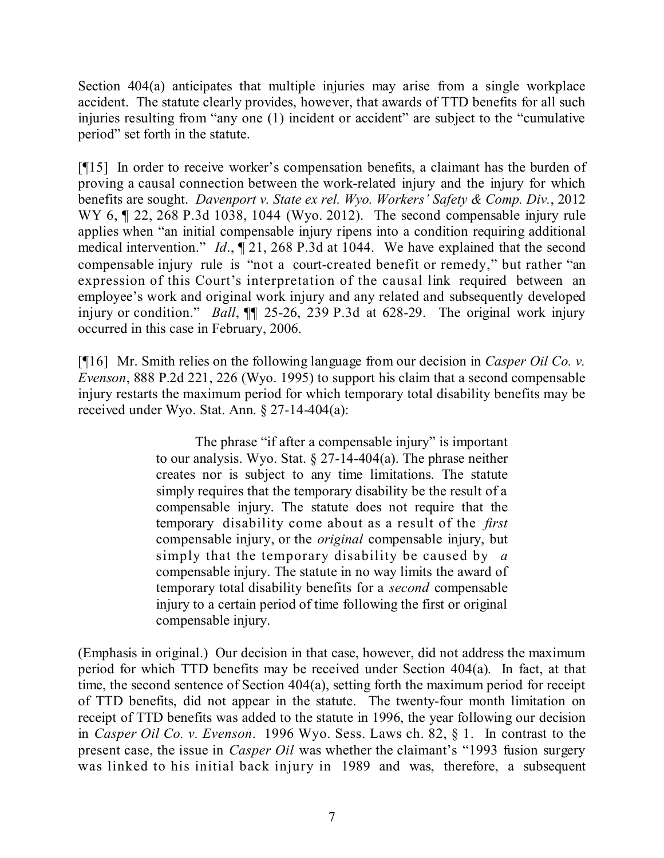Section 404(a) anticipates that multiple injuries may arise from a single workplace accident. The statute clearly provides, however, that awards of TTD benefits for all such injuries resulting from "any one (1) incident or accident" are subject to the "cumulative period" set forth in the statute.

[¶15] In order to receive worker's compensation benefits, a claimant has the burden of proving a causal connection between the work-related injury and the injury for which benefits are sought. *Davenport v. State ex rel. Wyo. Workers' Safety & Comp. Div.*, 2012 WY 6,  $\parallel$  22, 268 P.3d 1038, 1044 (Wyo. 2012). The second compensable injury rule applies when "an initial compensable injury ripens into a condition requiring additional medical intervention." *Id*., ¶ 21, 268 P.3d at 1044. We have explained that the second compensable injury rule is "not a court-created benefit or remedy," but rather "an expression of this Court's interpretation of the causal link required between an employee's work and original work injury and any related and subsequently developed injury or condition." *Ball*, ¶¶ 25-26, 239 P.3d at 628-29. The original work injury occurred in this case in February, 2006.

[¶16] Mr. Smith relies on the following language from our decision in *Casper Oil Co. v. Evenson*, 888 P.2d 221, 226 (Wyo. 1995) to support his claim that a second compensable injury restarts the maximum period for which temporary total disability benefits may be received under Wyo. Stat. Ann. § 27-14-404(a):

> The phrase "if after a compensable injury" is important to our analysis. Wyo. Stat. § 27-14-404(a). The phrase neither creates nor is subject to any time limitations. The statute simply requires that the temporary disability be the result of a compensable injury. The statute does not require that the temporary disability come about as a result of the *first* compensable injury, or the *original* compensable injury, but simply that the temporary disability be caused by *a* compensable injury. The statute in no way limits the award of temporary total disability benefits for a *second* compensable injury to a certain period of time following the first or original compensable injury.

(Emphasis in original.) Our decision in that case, however, did not address the maximum period for which TTD benefits may be received under Section 404(a). In fact, at that time, the second sentence of Section 404(a), setting forth the maximum period for receipt of TTD benefits, did not appear in the statute. The twenty-four month limitation on receipt of TTD benefits was added to the statute in 1996, the year following our decision in *Casper Oil Co. v. Evenson*. 1996 Wyo. Sess. Laws ch. 82, § 1. In contrast to the present case, the issue in *Casper Oil* was whether the claimant's "1993 fusion surgery was linked to his initial back injury in 1989 and was, therefore, a subsequent